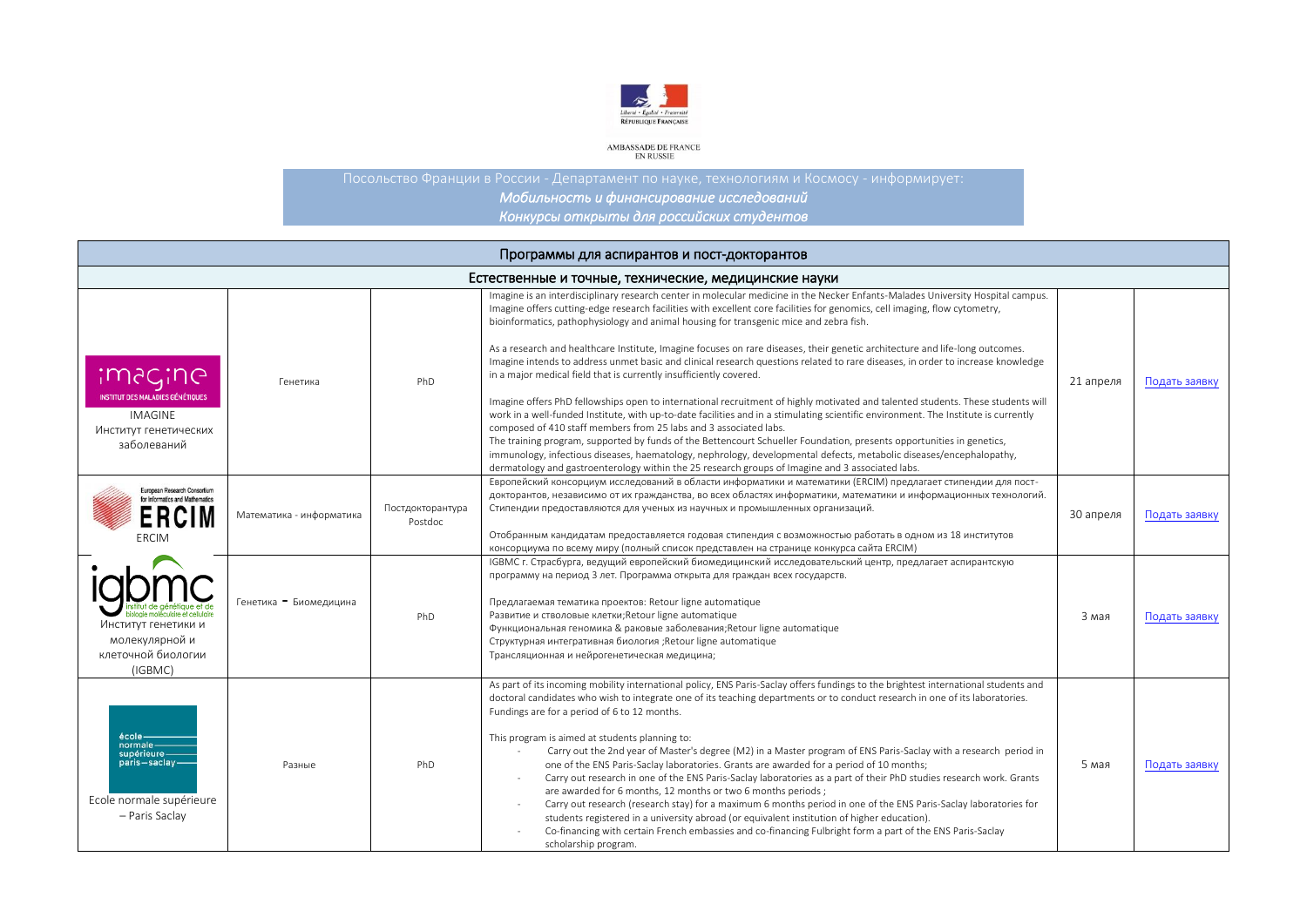

AMBASSADE DE FRANCE<br>EN RUSSIE

*Мобильность и финансирование исследований Конкурсы открыты для российских студентов* 

| Программы для аспирантов и пост-докторантов                                                       |                          |                             |                                                                                                                                                                                                                                                                                                                                                                                                                                                                                                                                                                                                                                                                                                                                                                                                                                                                                                                                                                                                                                                                                                                                     |           |               |  |  |  |
|---------------------------------------------------------------------------------------------------|--------------------------|-----------------------------|-------------------------------------------------------------------------------------------------------------------------------------------------------------------------------------------------------------------------------------------------------------------------------------------------------------------------------------------------------------------------------------------------------------------------------------------------------------------------------------------------------------------------------------------------------------------------------------------------------------------------------------------------------------------------------------------------------------------------------------------------------------------------------------------------------------------------------------------------------------------------------------------------------------------------------------------------------------------------------------------------------------------------------------------------------------------------------------------------------------------------------------|-----------|---------------|--|--|--|
| Естественные и точные, технические, медицинские науки                                             |                          |                             |                                                                                                                                                                                                                                                                                                                                                                                                                                                                                                                                                                                                                                                                                                                                                                                                                                                                                                                                                                                                                                                                                                                                     |           |               |  |  |  |
| <u>imagine</u>                                                                                    | Генетика                 | PhD                         | Imagine is an interdisciplinary research center in molecular medicine in the Necker Enfants-Malades University Hospital campus.<br>Imagine offers cutting-edge research facilities with excellent core facilities for genomics, cell imaging, flow cytometry,<br>bioinformatics, pathophysiology and animal housing for transgenic mice and zebra fish.<br>As a research and healthcare Institute, Imagine focuses on rare diseases, their genetic architecture and life-long outcomes.<br>Imagine intends to address unmet basic and clinical research questions related to rare diseases, in order to increase knowledge<br>in a major medical field that is currently insufficiently covered.                                                                                                                                                                                                                                                                                                                                                                                                                                    | 21 апреля | Подать заявку |  |  |  |
| <b>INSTITUT DES MALADIES GÉNÉTIQUES</b><br><b>IMAGINE</b><br>Институт генетических<br>заболеваний |                          |                             | Imagine offers PhD fellowships open to international recruitment of highly motivated and talented students. These students will<br>work in a well-funded Institute, with up-to-date facilities and in a stimulating scientific environment. The Institute is currently<br>composed of 410 staff members from 25 labs and 3 associated labs.<br>The training program, supported by funds of the Bettencourt Schueller Foundation, presents opportunities in genetics,<br>immunology, infectious diseases, haematology, nephrology, developmental defects, metabolic diseases/encephalopathy,<br>dermatology and gastroenterology within the 25 research groups of Imagine and 3 associated labs.                                                                                                                                                                                                                                                                                                                                                                                                                                     |           |               |  |  |  |
| European Research Consortium<br>for Informatics and Mathematics<br><b>ERCIM</b><br><b>ERCIM</b>   | Математика - информатика | Постдокторантура<br>Postdoc | Европейский консорциум исследований в области информатики и математики (ERCIM) предлагает стипендии для пост-<br>докторантов, независимо от их гражданства, во всех областях информатики, математики и информационных технологий.<br>Стипендии предоставляются для ученых из научных и промышленных организаций.<br>Отобранным кандидатам предоставляется годовая стипендия с возможностью работать в одном из 18 институтов<br>консорциума по всему миру (полный список представлен на странице конкурса сайта ERCIM)                                                                                                                                                                                                                                                                                                                                                                                                                                                                                                                                                                                                              | 30 апреля | Подать заявку |  |  |  |
| Институт генетики и<br>молекулярной и<br>клеточной биологии<br>(IGBMC)                            | Генетика - Биомедицина   | PhD                         | IGBMC г. Страсбурга, ведущий европейский биомедицинский исследовательский центр, предлагает аспирантскую<br>программу на период 3 лет. Программа открыта для граждан всех государств.<br>Предлагаемая тематика проектов: Retour ligne automatique<br>Развитие и стволовые клетки; Retour ligne automatique<br>Функциональная геномика & раковые заболевания; Retour ligne automatique<br>Структурная интегративная биология ; Retour ligne automatique<br>Трансляционная и нейрогенетическая медицина;                                                                                                                                                                                                                                                                                                                                                                                                                                                                                                                                                                                                                              | 3 мая     | Подать заявку |  |  |  |
| école-<br>normale<br>supérieure-<br>paris-saclay-<br>Ecole normale supérieure<br>- Paris Saclay   | Разные                   | PhD                         | As part of its incoming mobility international policy, ENS Paris-Saclay offers fundings to the brightest international students and<br>doctoral candidates who wish to integrate one of its teaching departments or to conduct research in one of its laboratories.<br>Fundings are for a period of 6 to 12 months.<br>This program is aimed at students planning to:<br>Carry out the 2nd year of Master's degree (M2) in a Master program of ENS Paris-Saclay with a research period in<br>one of the ENS Paris-Saclay laboratories. Grants are awarded for a period of 10 months;<br>Carry out research in one of the ENS Paris-Saclay laboratories as a part of their PhD studies research work. Grants<br>are awarded for 6 months, 12 months or two 6 months periods;<br>Carry out research (research stay) for a maximum 6 months period in one of the ENS Paris-Saclay laboratories for<br>students registered in a university abroad (or equivalent institution of higher education).<br>Co-financing with certain French embassies and co-financing Fulbright form a part of the ENS Paris-Saclay<br>scholarship program. | 5 мая     | Подать заявку |  |  |  |